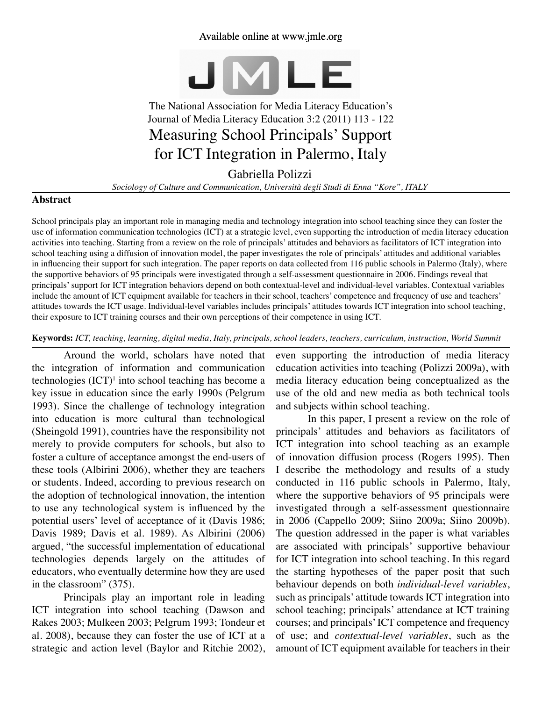# Available online at www.jmle.org



# The National Association for Media Literacy Education's Journal of Media Literacy Education 3:2 (2011) 113 - 122 Measuring School Principals' Support for ICT Integration in Palermo, Italy

# Gabriella Polizzi

*Sociology of Culture and Communication, Università degli Studi di Enna "Kore", ITALY*

# **Abstract**

School principals play an important role in managing media and technology integration into school teaching since they can foster the use of information communication technologies (ICT) at a strategic level, even supporting the introduction of media literacy education activities into teaching. Starting from a review on the role of principals' attitudes and behaviors as facilitators of ICT integration into school teaching using a diffusion of innovation model, the paper investigates the role of principals' attitudes and additional variables in influencing their support for such integration. The paper reports on data collected from 116 public schools in Palermo (Italy), where the supportive behaviors of 95 principals were investigated through a self-assessment questionnaire in 2006. Findings reveal that principals' support for ICT integration behaviors depend on both contextual-level and individual-level variables. Contextual variables include the amount of ICT equipment available for teachers in their school, teachers' competence and frequency of use and teachers' attitudes towards the ICT usage. Individual-level variables includes principals' attitudes towards ICT integration into school teaching, their exposure to ICT training courses and their own perceptions of their competence in using ICT.

#### **Keywords:** *ICT, teaching, learning, digital media, Italy, principals, school leaders, teachers, curriculum, instruction, World Summit*

Around the world, scholars have noted that the integration of information and communication technologies  $(ICT)^1$  into school teaching has become a key issue in education since the early 1990s (Pelgrum 1993). Since the challenge of technology integration into education is more cultural than technological (Sheingold 1991), countries have the responsibility not merely to provide computers for schools, but also to foster a culture of acceptance amongst the end-users of these tools (Albirini 2006), whether they are teachers or students. Indeed, according to previous research on the adoption of technological innovation, the intention to use any technological system is influenced by the potential users' level of acceptance of it (Davis 1986; Davis 1989; Davis et al. 1989). As Albirini (2006) argued, "the successful implementation of educational technologies depends largely on the attitudes of educators, who eventually determine how they are used in the classroom" (375).

Principals play an important role in leading ICT integration into school teaching (Dawson and Rakes 2003; Mulkeen 2003; Pelgrum 1993; Tondeur et al. 2008), because they can foster the use of ICT at a strategic and action level (Baylor and Ritchie 2002), even supporting the introduction of media literacy education activities into teaching (Polizzi 2009a), with media literacy education being conceptualized as the use of the old and new media as both technical tools and subjects within school teaching.

In this paper, I present a review on the role of principals' attitudes and behaviors as facilitators of ICT integration into school teaching as an example of innovation diffusion process (Rogers 1995). Then I describe the methodology and results of a study conducted in 116 public schools in Palermo, Italy, where the supportive behaviors of 95 principals were investigated through a self-assessment questionnaire in 2006 (Cappello 2009; Siino 2009a; Siino 2009b). The question addressed in the paper is what variables are associated with principals' supportive behaviour for ICT integration into school teaching. In this regard the starting hypotheses of the paper posit that such behaviour depends on both *individual-level variables*, such as principals' attitude towards ICT integration into school teaching; principals' attendance at ICT training courses; and principals' ICT competence and frequency of use; and *contextual-level variables*, such as the amount of ICT equipment available for teachers in their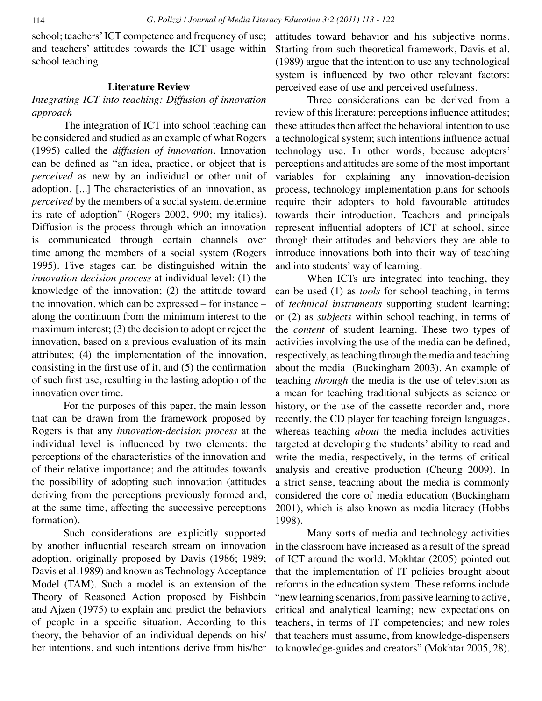school; teachers' ICT competence and frequency of use; and teachers' attitudes towards the ICT usage within school teaching.

## **Literature Review**

# *Integrating ICT into teaching: Diffusion of innovation approach*

The integration of ICT into school teaching can be considered and studied as an example of what Rogers (1995) called the *diffusion of innovation*. Innovation can be defined as "an idea, practice, or object that is *perceived* as new by an individual or other unit of adoption. [...] The characteristics of an innovation, as *perceived* by the members of a social system, determine its rate of adoption" (Rogers 2002, 990; my italics). Diffusion is the process through which an innovation is communicated through certain channels over time among the members of a social system (Rogers 1995). Five stages can be distinguished within the *innovation-decision process* at individual level: (1) the knowledge of the innovation; (2) the attitude toward the innovation, which can be expressed – for instance – along the continuum from the minimum interest to the maximum interest; (3) the decision to adopt or reject the innovation, based on a previous evaluation of its main attributes; (4) the implementation of the innovation, consisting in the first use of it, and (5) the confirmation of such first use, resulting in the lasting adoption of the innovation over time.

For the purposes of this paper, the main lesson that can be drawn from the framework proposed by Rogers is that any *innovation-decision process* at the individual level is influenced by two elements: the perceptions of the characteristics of the innovation and of their relative importance; and the attitudes towards the possibility of adopting such innovation (attitudes deriving from the perceptions previously formed and, at the same time, affecting the successive perceptions formation).

Such considerations are explicitly supported by another influential research stream on innovation adoption, originally proposed by Davis (1986; 1989; Davis et al.1989) and known as Technology Acceptance Model (TAM). Such a model is an extension of the Theory of Reasoned Action proposed by Fishbein and Ajzen (1975) to explain and predict the behaviors of people in a specific situation. According to this theory, the behavior of an individual depends on his/ her intentions, and such intentions derive from his/her attitudes toward behavior and his subjective norms. Starting from such theoretical framework, Davis et al. (1989) argue that the intention to use any technological system is influenced by two other relevant factors: perceived ease of use and perceived usefulness.

Three considerations can be derived from a review of this literature: perceptions influence attitudes; these attitudes then affect the behavioral intention to use a technological system; such intentions influence actual technology use. In other words, because adopters' perceptions and attitudes are some of the most important variables for explaining any innovation-decision process, technology implementation plans for schools require their adopters to hold favourable attitudes towards their introduction. Teachers and principals represent influential adopters of ICT at school, since through their attitudes and behaviors they are able to introduce innovations both into their way of teaching and into students' way of learning.

When ICTs are integrated into teaching, they can be used (1) as *tools* for school teaching, in terms of *technical instruments* supporting student learning; or (2) as *subjects* within school teaching, in terms of the *content* of student learning. These two types of activities involving the use of the media can be defined, respectively, as teaching through the media and teaching about the media (Buckingham 2003). An example of teaching *through* the media is the use of television as a mean for teaching traditional subjects as science or history, or the use of the cassette recorder and, more recently, the CD player for teaching foreign languages, whereas teaching *about* the media includes activities targeted at developing the students' ability to read and write the media, respectively, in the terms of critical analysis and creative production (Cheung 2009). In a strict sense, teaching about the media is commonly considered the core of media education (Buckingham 2001), which is also known as media literacy (Hobbs 1998).

Many sorts of media and technology activities in the classroom have increased as a result of the spread of ICT around the world. Mokhtar (2005) pointed out that the implementation of IT policies brought about reforms in the education system. These reforms include "new learning scenarios, from passive learning to active, critical and analytical learning; new expectations on teachers, in terms of IT competencies; and new roles that teachers must assume, from knowledge-dispensers to knowledge-guides and creators" (Mokhtar 2005, 28).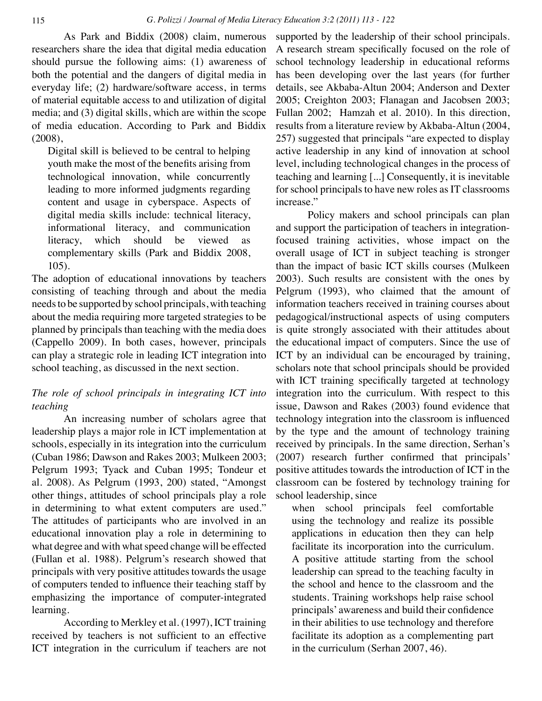As Park and Biddix (2008) claim, numerous researchers share the idea that digital media education should pursue the following aims: (1) awareness of both the potential and the dangers of digital media in everyday life; (2) hardware/software access, in terms of material equitable access to and utilization of digital media; and (3) digital skills, which are within the scope of media education. According to Park and Biddix (2008),

Digital skill is believed to be central to helping youth make the most of the benefits arising from technological innovation, while concurrently leading to more informed judgments regarding content and usage in cyberspace. Aspects of digital media skills include: technical literacy, informational literacy, and communication literacy, which should be viewed as complementary skills (Park and Biddix 2008, 105).

The adoption of educational innovations by teachers consisting of teaching through and about the media needs to be supported by school principals, with teaching about the media requiring more targeted strategies to be planned by principals than teaching with the media does (Cappello 2009). In both cases, however, principals can play a strategic role in leading ICT integration into school teaching, as discussed in the next section.

# *The role of school principals in integrating ICT into teaching*

An increasing number of scholars agree that leadership plays a major role in ICT implementation at schools, especially in its integration into the curriculum (Cuban 1986; Dawson and Rakes 2003; Mulkeen 2003; Pelgrum 1993; Tyack and Cuban 1995; Tondeur et al. 2008). As Pelgrum (1993, 200) stated, "Amongst other things, attitudes of school principals play a role in determining to what extent computers are used." The attitudes of participants who are involved in an educational innovation play a role in determining to what degree and with what speed change will be effected (Fullan et al. 1988). Pelgrum's research showed that principals with very positive attitudes towards the usage of computers tended to influence their teaching staff by emphasizing the importance of computer-integrated learning.

According to Merkley et al. (1997), ICT training received by teachers is not sufficient to an effective ICT integration in the curriculum if teachers are not supported by the leadership of their school principals. A research stream specifically focused on the role of school technology leadership in educational reforms has been developing over the last years (for further details, see Akbaba-Altun 2004; Anderson and Dexter 2005; Creighton 2003; Flanagan and Jacobsen 2003; Fullan 2002; Hamzah et al. 2010). In this direction, results from a literature review by Akbaba-Altun (2004, 257) suggested that principals "are expected to display active leadership in any kind of innovation at school level, including technological changes in the process of teaching and learning [...] Consequently, it is inevitable for school principals to have new roles as IT classrooms increase."

Policy makers and school principals can plan and support the participation of teachers in integrationfocused training activities, whose impact on the overall usage of ICT in subject teaching is stronger than the impact of basic ICT skills courses (Mulkeen 2003). Such results are consistent with the ones by Pelgrum (1993), who claimed that the amount of information teachers received in training courses about pedagogical/instructional aspects of using computers is quite strongly associated with their attitudes about the educational impact of computers. Since the use of ICT by an individual can be encouraged by training, scholars note that school principals should be provided with ICT training specifically targeted at technology integration into the curriculum. With respect to this issue, Dawson and Rakes (2003) found evidence that technology integration into the classroom is influenced by the type and the amount of technology training received by principals. In the same direction, Serhan's (2007) research further confirmed that principals' positive attitudes towards the introduction of ICT in the classroom can be fostered by technology training for school leadership, since

when school principals feel comfortable using the technology and realize its possible applications in education then they can help facilitate its incorporation into the curriculum. A positive attitude starting from the school leadership can spread to the teaching faculty in the school and hence to the classroom and the students. Training workshops help raise school principals' awareness and build their confidence in their abilities to use technology and therefore facilitate its adoption as a complementing part in the curriculum (Serhan 2007, 46).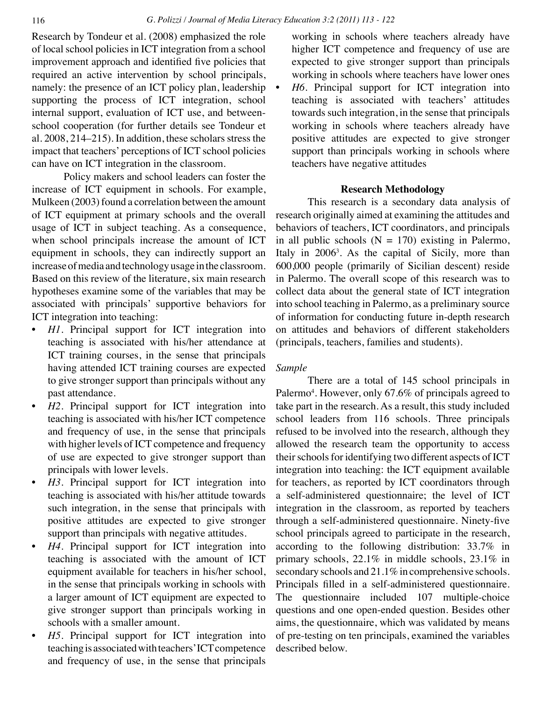Research by Tondeur et al. (2008) emphasized the role of local school policies in ICT integration from a school improvement approach and identified five policies that required an active intervention by school principals, namely: the presence of an ICT policy plan, leadership supporting the process of ICT integration, school internal support, evaluation of ICT use, and betweenschool cooperation (for further details see Tondeur et al. 2008, 214–215). In addition, these scholars stress the impact that teachers' perceptions of ICT school policies can have on ICT integration in the classroom.

Policy makers and school leaders can foster the increase of ICT equipment in schools. For example, Mulkeen (2003) found a correlation between the amount of ICT equipment at primary schools and the overall usage of ICT in subject teaching. As a consequence, when school principals increase the amount of ICT equipment in schools, they can indirectly support an increase of media and technology usage in the classroom. Based on this review of the literature, six main research hypotheses examine some of the variables that may be associated with principals' supportive behaviors for ICT integration into teaching:

- *H1*. Principal support for ICT integration into teaching is associated with his/her attendance at ICT training courses, in the sense that principals having attended ICT training courses are expected to give stronger support than principals without any past attendance.
- *• H2*. Principal support for ICT integration into teaching is associated with his/her ICT competence and frequency of use, in the sense that principals with higher levels of ICT competence and frequency of use are expected to give stronger support than principals with lower levels.
- *• H3*. Principal support for ICT integration into teaching is associated with his/her attitude towards such integration, in the sense that principals with positive attitudes are expected to give stronger support than principals with negative attitudes.
- *H4*. Principal support for ICT integration into teaching is associated with the amount of ICT equipment available for teachers in his/her school, in the sense that principals working in schools with a larger amount of ICT equipment are expected to give stronger support than principals working in schools with a smaller amount.
- *H5*. Principal support for ICT integration into teaching is associated with teachers' ICT competence and frequency of use, in the sense that principals

working in schools where teachers already have higher ICT competence and frequency of use are expected to give stronger support than principals working in schools where teachers have lower ones *H6*. Principal support for ICT integration into teaching is associated with teachers' attitudes towards such integration, in the sense that principals working in schools where teachers already have positive attitudes are expected to give stronger

support than principals working in schools where

# **Research Methodology**

teachers have negative attitudes

This research is a secondary data analysis of research originally aimed at examining the attitudes and behaviors of teachers, ICT coordinators, and principals in all public schools  $(N = 170)$  existing in Palermo, Italy in 2006<sup>3</sup>. As the capital of Sicily, more than 600,000 people (primarily of Sicilian descent) reside in Palermo. The overall scope of this research was to collect data about the general state of ICT integration into school teaching in Palermo, as a preliminary source of information for conducting future in-depth research on attitudes and behaviors of different stakeholders (principals, teachers, families and students).

## *Sample*

There are a total of 145 school principals in Palermo<sup>4</sup>. However, only 67.6% of principals agreed to take part in the research. As a result, this study included school leaders from 116 schools. Three principals refused to be involved into the research, although they allowed the research team the opportunity to access their schools for identifying two different aspects of ICT integration into teaching: the ICT equipment available for teachers, as reported by ICT coordinators through a self-administered questionnaire; the level of ICT integration in the classroom, as reported by teachers through a self-administered questionnaire. Ninety-five school principals agreed to participate in the research, according to the following distribution: 33.7% in primary schools, 22.1% in middle schools, 23.1% in secondary schools and 21.1% in comprehensive schools. Principals filled in a self-administered questionnaire. The questionnaire included 107 multiple-choice questions and one open-ended question. Besides other aims, the questionnaire, which was validated by means of pre-testing on ten principals, examined the variables described below.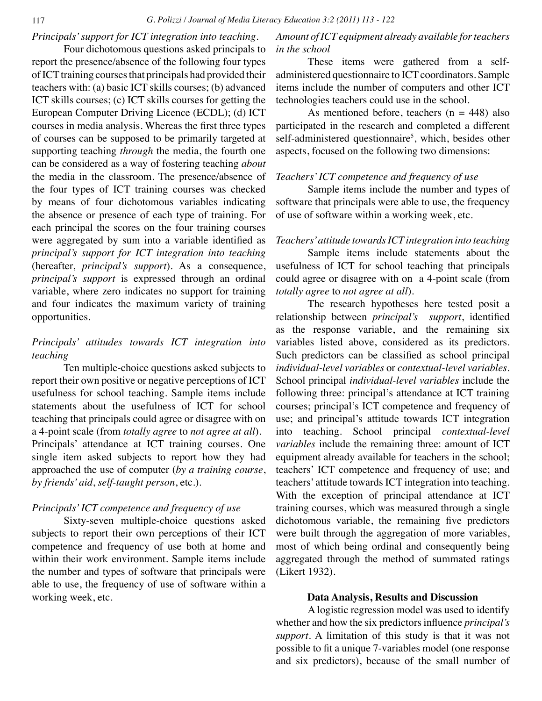# *Principals' support for ICT integration into teaching.*

Four dichotomous questions asked principals to report the presence/absence of the following four types of ICT training courses that principals had provided their teachers with: (a) basic ICT skills courses; (b) advanced ICT skills courses; (c) ICT skills courses for getting the European Computer Driving Licence (ECDL); (d) ICT courses in media analysis. Whereas the first three types of courses can be supposed to be primarily targeted at supporting teaching *through* the media, the fourth one can be considered as a way of fostering teaching *about* the media in the classroom. The presence/absence of the four types of ICT training courses was checked by means of four dichotomous variables indicating the absence or presence of each type of training. For each principal the scores on the four training courses were aggregated by sum into a variable identified as *principal's support for ICT integration into teaching*  (hereafter, *principal's support*). As a consequence, *principal's support* is expressed through an ordinal variable, where zero indicates no support for training and four indicates the maximum variety of training opportunities.

# *Principals' attitudes towards ICT integration into teaching*

Ten multiple-choice questions asked subjects to report their own positive or negative perceptions of ICT usefulness for school teaching. Sample items include statements about the usefulness of ICT for school teaching that principals could agree or disagree with on a 4-point scale (from *totally agree* to *not agree at all*). Principals' attendance at ICT training courses. One single item asked subjects to report how they had approached the use of computer (*by a training course*, *by friends' aid*, *self-taught person*, etc.).

# *Principals' ICT competence and frequency of use*

Sixty-seven multiple-choice questions asked subjects to report their own perceptions of their ICT competence and frequency of use both at home and within their work environment. Sample items include the number and types of software that principals were able to use, the frequency of use of software within a working week, etc.

# *Amount of ICT equipment already available for teachers in the school*

These items were gathered from a selfadministered questionnaire to ICT coordinators. Sample items include the number of computers and other ICT technologies teachers could use in the school.

As mentioned before, teachers  $(n = 448)$  also participated in the research and completed a different self-administered questionnaire<sup>5</sup>, which, besides other aspects, focused on the following two dimensions:

### *Teachers' ICT competence and frequency of use*

Sample items include the number and types of software that principals were able to use, the frequency of use of software within a working week, etc.

### *Teachers' attitude towards ICT integration into teaching*

Sample items include statements about the usefulness of ICT for school teaching that principals could agree or disagree with on a 4-point scale (from *totally agree* to *not agree at all*).

The research hypotheses here tested posit a relationship between *principal's support*, identified as the response variable, and the remaining six variables listed above, considered as its predictors. Such predictors can be classified as school principal *individual-level variables* or *contextual-level variables*. School principal *individual-level variables* include the following three: principal's attendance at ICT training courses; principal's ICT competence and frequency of use; and principal's attitude towards ICT integration into teaching. School principal *contextual-level variables* include the remaining three: amount of ICT equipment already available for teachers in the school; teachers' ICT competence and frequency of use; and teachers' attitude towards ICT integration into teaching. With the exception of principal attendance at ICT training courses, which was measured through a single dichotomous variable, the remaining five predictors were built through the aggregation of more variables, most of which being ordinal and consequently being aggregated through the method of summated ratings (Likert 1932).

### **Data Analysis, Results and Discussion**

A logistic regression model was used to identify whether and how the six predictors influence *principal's support*. A limitation of this study is that it was not possible to fit a unique 7-variables model (one response and six predictors), because of the small number of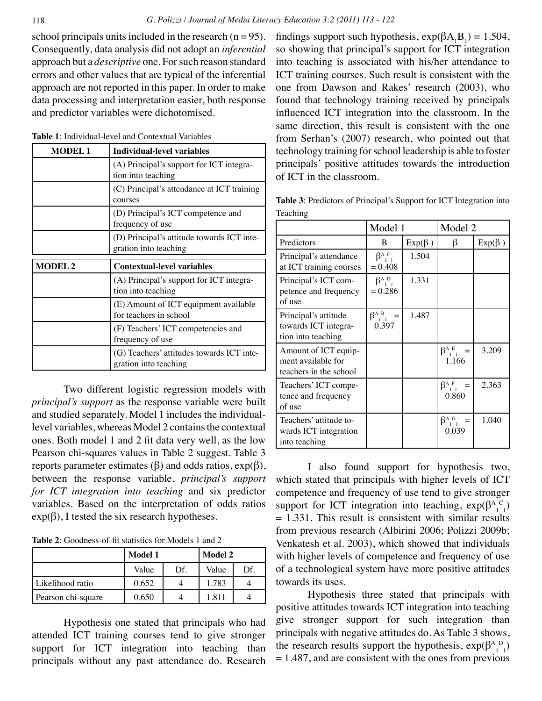school principals units included in the research  $(n = 95)$ . Consequently, data analysis did not adopt an *inferential* approach but a *descriptive* one. For such reason standard errors and other values that are typical of the inferential approach are not reported in this paper. In order to make data processing and interpretation easier, both response and predictor variables were dichotomised.

| <b>MODEL1</b>  | <b>Individual-level variables</b>                                   |  |  |  |  |
|----------------|---------------------------------------------------------------------|--|--|--|--|
|                | (A) Principal's support for ICT integra-<br>tion into teaching      |  |  |  |  |
|                | (C) Principal's attendance at ICT training<br>courses               |  |  |  |  |
|                | (D) Principal's ICT competence and<br>frequency of use              |  |  |  |  |
|                | (D) Principal's attitude towards ICT inte-<br>gration into teaching |  |  |  |  |
|                | <b>Contextual-level variables</b>                                   |  |  |  |  |
| <b>MODEL 2</b> |                                                                     |  |  |  |  |
|                | (A) Principal's support for ICT integra-<br>tion into teaching      |  |  |  |  |
|                | (E) Amount of ICT equipment available<br>for teachers in school     |  |  |  |  |
|                | (F) Teachers' ICT competencies and<br>frequency of use              |  |  |  |  |

**Table 1**: Individual-level and Contextual Variables

Two different logistic regression models with *principal's support* as the response variable were built and studied separately. Model 1 includes the individuallevel variables, whereas Model 2 contains the contextual ones. Both model 1 and 2 fit data very well, as the low Pearson chi-squares values in Table 2 suggest. Table 3 reports parameter estimates (β) and odds ratios,  $exp(β)$ , between the response variable, *principal's support for ICT integration into teaching* and six predictor variables. Based on the interpretation of odds ratios  $exp(\beta)$ , I tested the six research hypotheses.

**Table 2**: Goodness-of-fit statistics for Models 1 and 2

|                    | Model 1 |     | Model 2 |     |
|--------------------|---------|-----|---------|-----|
|                    | Value   | Df. | Value   | Df. |
| Likelihood ratio   | 0.652   |     | 1.783   |     |
| Pearson chi-square | 0.650   |     | 1.811   |     |

Hypothesis one stated that principals who had attended ICT training courses tend to give stronger support for ICT integration into teaching than principals without any past attendance do. Research

findings support such hypothesis,  $exp(\beta A_1 B_1) = 1.504$ , so showing that principal's support for ICT integration into teaching is associated with his/her attendance to ICT training courses. Such result is consistent with the one from Dawson and Rakes' research (2003), who found that technology training received by principals influenced ICT integration into the classroom. In the same direction, this result is consistent with the one from Serhan's (2007) research, who pointed out that technology training for school leadership is able to foster principals' positive attitudes towards the introduction of ICT in the classroom.

**Table 3**: Predictors of Principal's Support for ICT Integration into Teaching

|                                                                      | Model 1                        |              | Model 2                                 |              |
|----------------------------------------------------------------------|--------------------------------|--------------|-----------------------------------------|--------------|
| Predictors                                                           | B                              | $Exp(\beta)$ | β                                       | $Exp(\beta)$ |
| Principal's attendance<br>at ICT training courses                    | $\beta_{1}^{A,C}$<br>$= 0.408$ | 1.504        |                                         |              |
| Principal's ICT com-<br>petence and frequency<br>of use              | $\beta_{1}^{A,D}$<br>$= 0.286$ | 1.331        |                                         |              |
| Principal's attitude<br>towards ICT integra-<br>tion into teaching   | $\beta_{11}^{A}$ =<br>0.397    | 1.487        |                                         |              |
| Amount of ICT equip-<br>ment available for<br>teachers in the school |                                |              | $\beta_{1}^{A}$ =<br>1.166              | 3.209        |
| Teachers' ICT compe-<br>tence and frequency<br>of use                |                                |              | $\beta_{11}^A$<br>$=$<br>0.860          | 2.363        |
| Teachers' attitude to-<br>wards ICT integration<br>into teaching     |                                |              | $\beta_{1}^{A}$ G <sub>1</sub><br>0.039 | 1.040        |

I also found support for hypothesis two, which stated that principals with higher levels of ICT competence and frequency of use tend to give stronger support for ICT integration into teaching,  $exp(\beta_{1}^{A}C_{1})$  $= 1.331$ . This result is consistent with similar results from previous research (Albirini 2006; Polizzi 2009b; Venkatesh et al. 2003), which showed that individuals with higher levels of competence and frequency of use of a technological system have more positive attitudes towards its uses.

Hypothesis three stated that principals with positive attitudes towards ICT integration into teaching give stronger support for such integration than principals with negative attitudes do. As Table 3 shows, the research results support the hypothesis,  $exp(\beta_{1}^{A}D_{1})$ = 1.487, and are consistent with the ones from previous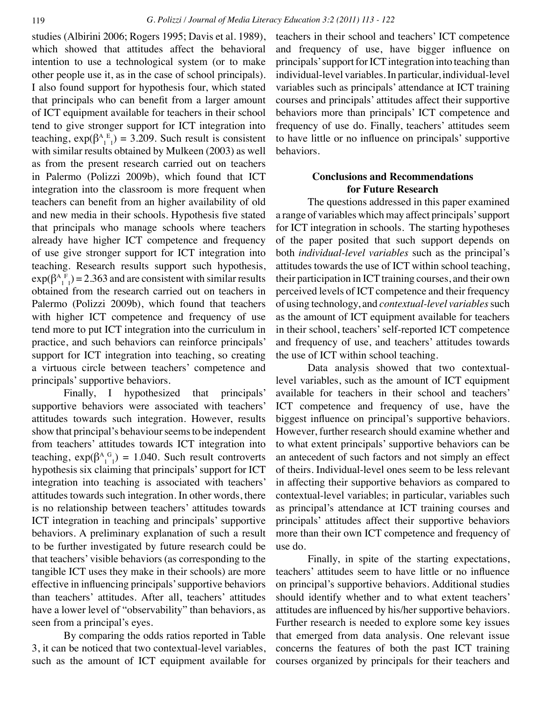studies (Albirini 2006; Rogers 1995; Davis et al. 1989), which showed that attitudes affect the behavioral intention to use a technological system (or to make other people use it, as in the case of school principals). I also found support for hypothesis four, which stated that principals who can benefit from a larger amount of ICT equipment available for teachers in their school tend to give stronger support for ICT integration into teaching,  $exp(\beta_{1}^{A}E_{1}) = 3.209$ . Such result is consistent with similar results obtained by Mulkeen (2003) as well as from the present research carried out on teachers in Palermo (Polizzi 2009b), which found that ICT integration into the classroom is more frequent when teachers can benefit from an higher availability of old and new media in their schools. Hypothesis five stated that principals who manage schools where teachers already have higher ICT competence and frequency of use give stronger support for ICT integration into teaching. Research results support such hypothesis,  $exp(\beta_{1}^{A}F_{1}) = 2.363$  and are consistent with similar results obtained from the research carried out on teachers in Palermo (Polizzi 2009b), which found that teachers with higher ICT competence and frequency of use tend more to put ICT integration into the curriculum in practice, and such behaviors can reinforce principals' support for ICT integration into teaching, so creating a virtuous circle between teachers' competence and principals' supportive behaviors.

Finally, I hypothesized that principals' supportive behaviors were associated with teachers' attitudes towards such integration. However, results show that principal's behaviour seems to be independent from teachers' attitudes towards ICT integration into teaching,  $\exp(\beta_{1}^{A}{}_{1}^{G}) = 1.040$ . Such result controverts hypothesis six claiming that principals' support for ICT integration into teaching is associated with teachers' attitudes towards such integration. In other words, there is no relationship between teachers' attitudes towards ICT integration in teaching and principals' supportive behaviors. A preliminary explanation of such a result to be further investigated by future research could be that teachers' visible behaviors (as corresponding to the tangible ICT uses they make in their schools) are more effective in influencing principals' supportive behaviors than teachers' attitudes. After all, teachers' attitudes have a lower level of "observability" than behaviors, as seen from a principal's eyes.

By comparing the odds ratios reported in Table 3, it can be noticed that two contextual-level variables, such as the amount of ICT equipment available for teachers in their school and teachers' ICT competence and frequency of use, have bigger influence on principals' support for ICT integration into teaching than individual-level variables. In particular, individual-level variables such as principals' attendance at ICT training courses and principals' attitudes affect their supportive behaviors more than principals' ICT competence and frequency of use do. Finally, teachers' attitudes seem to have little or no influence on principals' supportive behaviors.

# **Conclusions and Recommendations for Future Research**

The questions addressed in this paper examined a range of variables which may affect principals' support for ICT integration in schools. The starting hypotheses of the paper posited that such support depends on both *individual-level variables* such as the principal's attitudes towards the use of ICT within school teaching, their participation in ICT training courses, and their own perceived levels of ICT competence and their frequency of using technology, and *contextual-level variables* such as the amount of ICT equipment available for teachers in their school, teachers' self-reported ICT competence and frequency of use, and teachers' attitudes towards the use of ICT within school teaching.

Data analysis showed that two contextuallevel variables, such as the amount of ICT equipment available for teachers in their school and teachers' ICT competence and frequency of use, have the biggest influence on principal's supportive behaviors. However, further research should examine whether and to what extent principals' supportive behaviors can be an antecedent of such factors and not simply an effect of theirs. Individual-level ones seem to be less relevant in affecting their supportive behaviors as compared to contextual-level variables; in particular, variables such as principal's attendance at ICT training courses and principals' attitudes affect their supportive behaviors more than their own ICT competence and frequency of use do.

Finally, in spite of the starting expectations, teachers' attitudes seem to have little or no influence on principal's supportive behaviors. Additional studies should identify whether and to what extent teachers' attitudes are influenced by his/her supportive behaviors. Further research is needed to explore some key issues that emerged from data analysis. One relevant issue concerns the features of both the past ICT training courses organized by principals for their teachers and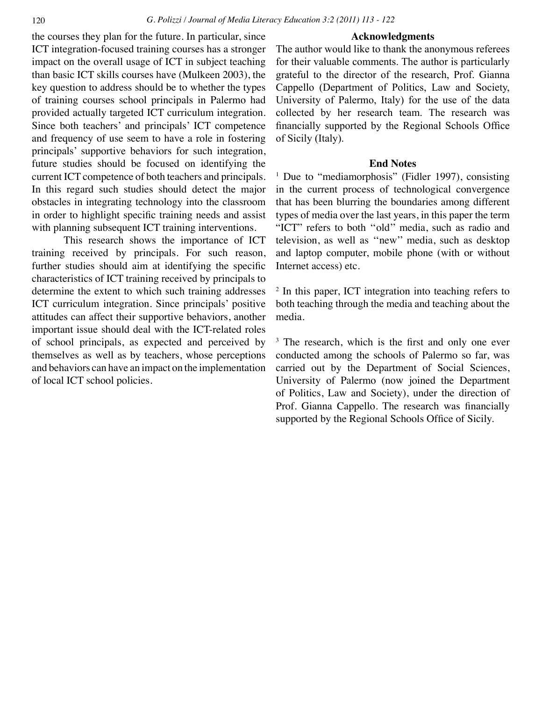### **Acknowledgments**

the courses they plan for the future. In particular, since ICT integration-focused training courses has a stronger impact on the overall usage of ICT in subject teaching than basic ICT skills courses have (Mulkeen 2003), the key question to address should be to whether the types of training courses school principals in Palermo had provided actually targeted ICT curriculum integration. Since both teachers' and principals' ICT competence and frequency of use seem to have a role in fostering principals' supportive behaviors for such integration, future studies should be focused on identifying the current ICT competence of both teachers and principals. In this regard such studies should detect the major obstacles in integrating technology into the classroom in order to highlight specific training needs and assist with planning subsequent ICT training interventions.

This research shows the importance of ICT training received by principals. For such reason, further studies should aim at identifying the specific characteristics of ICT training received by principals to determine the extent to which such training addresses ICT curriculum integration. Since principals' positive attitudes can affect their supportive behaviors, another important issue should deal with the ICT-related roles of school principals, as expected and perceived by themselves as well as by teachers, whose perceptions and behaviors can have an impact on the implementation of local ICT school policies.

The author would like to thank the anonymous referees for their valuable comments. The author is particularly grateful to the director of the research, Prof. Gianna Cappello (Department of Politics, Law and Society, University of Palermo, Italy) for the use of the data collected by her research team. The research was financially supported by the Regional Schools Office of Sicily (Italy).

### **End Notes**

<sup>1</sup> Due to "mediamorphosis" (Fidler 1997), consisting in the current process of technological convergence that has been blurring the boundaries among different types of media over the last years, in this paper the term "ICT" refers to both ''old'' media, such as radio and television, as well as ''new'' media, such as desktop and laptop computer, mobile phone (with or without Internet access) etc.

<sup>2</sup> In this paper, ICT integration into teaching refers to both teaching through the media and teaching about the media.

<sup>3</sup> The research, which is the first and only one ever conducted among the schools of Palermo so far, was carried out by the Department of Social Sciences, University of Palermo (now joined the Department of Politics, Law and Society), under the direction of Prof. Gianna Cappello. The research was financially supported by the Regional Schools Office of Sicily.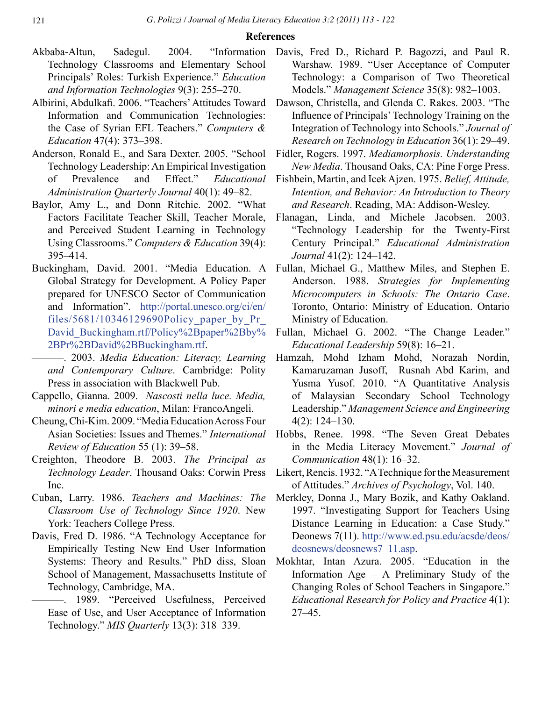### **References**

- Akbaba-Altun, Sadegul. 2004. "Information Technology Classrooms and Elementary School Principals' Roles: Turkish Experience." *Education and Information Technologies* 9(3): 255–270.
- Albirini, Abdulkafi. 2006. "Teachers' Attitudes Toward Information and Communication Technologies: the Case of Syrian EFL Teachers." *Computers & Education* 47(4): 373–398.
- Anderson, Ronald E., and Sara Dexter. 2005. "School Technology Leadership: An Empirical Investigation of Prevalence and Effect." *Educational Administration Quarterly Journal* 40(1): 49–82.
- Baylor, Amy L., and Donn Ritchie. 2002. "What Factors Facilitate Teacher Skill, Teacher Morale, and Perceived Student Learning in Technology Using Classrooms." *Computers & Education* 39(4): 395–414.
- Buckingham, David. 2001. "Media Education. A Global Strategy for Development. A Policy Paper prepared for UNESCO Sector of Communication and Information". [http://portal.unesco.org/ci/en/](http://portal.unesco.org/ci/en/files/5681/10346129690Policy_paper_by_Pr_David_Buckingham.rtf/Policy%2Bpaper%2Bby%2BPr%2BDavid%2BBuckingham.rtf) files/5681/10346129690Policy paper by Pr [David\\_Buckingham.rtf/Policy%2Bpaper%2Bby%](http://portal.unesco.org/ci/en/files/5681/10346129690Policy_paper_by_Pr_David_Buckingham.rtf/Policy%2Bpaper%2Bby%2BPr%2BDavid%2BBuckingham.rtf) [2BPr%2BDavid%2BBuckingham.rtf](http://portal.unesco.org/ci/en/files/5681/10346129690Policy_paper_by_Pr_David_Buckingham.rtf/Policy%2Bpaper%2Bby%2BPr%2BDavid%2BBuckingham.rtf).
- ———. 2003. *Media Education: Literacy, Learning and Contemporary Culture*. Cambridge: Polity Press in association with Blackwell Pub.
- Cappello, Gianna. 2009. *Nascosti nella luce. Media, minori e media education*, Milan: FrancoAngeli.
- Cheung, Chi-Kim. 2009. "Media Education Across Four Asian Societies: Issues and Themes." *International Review of Education* 55 (1): 39–58.
- Creighton, Theodore B. 2003. *The Principal as Technology Leader*. Thousand Oaks: Corwin Press Inc.
- Cuban, Larry. 1986. *Teachers and Machines: The Classroom Use of Technology Since 1920*. New York: Teachers College Press.
- Davis, Fred D. 1986. "A Technology Acceptance for Empirically Testing New End User Information Systems: Theory and Results." PhD diss, Sloan School of Management, Massachusetts Institute of Technology, Cambridge, MA.
	- ———. 1989. "Perceived Usefulness, Perceived Ease of Use, and User Acceptance of Information Technology." *MIS Quarterly* 13(3): 318–339.
- Davis, Fred D., Richard P. Bagozzi, and Paul R. Warshaw. 1989. "User Acceptance of Computer Technology: a Comparison of Two Theoretical Models." *Management Science* 35(8): 982–1003.
- Dawson, Christella, and Glenda C. Rakes. 2003. "The Influence of Principals' Technology Training on the Integration of Technology into Schools." *Journal of Research on Technology in Education* 36(1): 29–49.
- Fidler, Rogers. 1997. *Mediamorphosis. Understanding New Media*. Thousand Oaks, CA: Pine Forge Press.
- Fishbein, Martin, and Icek Ajzen. 1975. *Belief, Attitude, Intention, and Behavior: An Introduction to Theory and Research*. Reading, MA: Addison-Wesley.
- Flanagan, Linda, and Michele Jacobsen. 2003. "Technology Leadership for the Twenty-First Century Principal." *Educational Administration Journal* 41(2): 124–142.
- Fullan, Michael G., Matthew Miles, and Stephen E. Anderson. 1988. *Strategies for Implementing Microcomputers in Schools: The Ontario Case*. Toronto, Ontario: Ministry of Education. Ontario Ministry of Education.
- Fullan, Michael G. 2002. "The Change Leader." *Educational Leadership* 59(8): 16–21.
- Hamzah, Mohd Izham Mohd, Norazah Nordin, Kamaruzaman Jusoff, Rusnah Abd Karim, and Yusma Yusof. 2010. "A Quantitative Analysis of Malaysian Secondary School Technology Leadership." *Management Science and Engineering* 4(2): 124–130.
- Hobbs, Renee. 1998. "The Seven Great Debates in the Media Literacy Movement." *Journal of Communication* 48(1): 16–32.
- Likert, Rencis. 1932. "A Technique for the Measurement of Attitudes." *Archives of Psychology*, Vol. 140.
- Merkley, Donna J., Mary Bozik, and Kathy Oakland. 1997. "Investigating Support for Teachers Using Distance Learning in Education: a Case Study." Deonews 7(11). [http://www.ed.psu.edu/acsde/deos/](http://www.ed.psu.edu/acsde/deos/deosnews/deosnews7_11.asp) [deosnews/deosnews7\\_11.asp](http://www.ed.psu.edu/acsde/deos/deosnews/deosnews7_11.asp).
- Mokhtar, Intan Azura. 2005. "Education in the Information Age – A Preliminary Study of the Changing Roles of School Teachers in Singapore." *Educational Research for Policy and Practice* 4(1): 27–45.